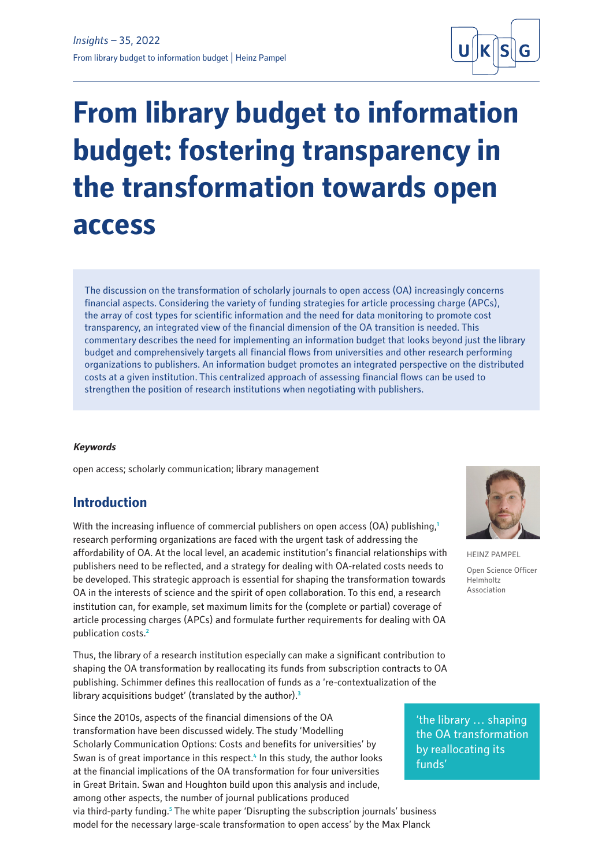

# **From library budget to information budget: fostering transparency in the transformation towards open access**

The discussion on the transformation of scholarly journals to open access (OA) increasingly concerns financial aspects. Considering the variety of funding strategies for article processing charge (APCs), the array of cost types for scientific information and the need for data monitoring to promote cost transparency, an integrated view of the financial dimension of the OA transition is needed. This commentary describes the need for implementing an information budget that looks beyond just the library budget and comprehensively targets all financial flows from universities and other research performing organizations to publishers. An information budget promotes an integrated perspective on the distributed costs at a given institution. This centralized approach of assessing financial flows can be used to strengthen the position of research institutions when negotiating with publishers.

## **Keywords**

open access; scholarly communication; library management

# **Introduction**

With the increasing influence of commercial publishers on open access (OA) publishing,**<sup>1</sup>** research performing organizations are faced with the urgent task of addressing the affordability of OA. At the local level, an academic institution's financial relationships with publishers need to be reflected, and a strategy for dealing with OA-related costs needs to be developed. This strategic approach is essential for shaping the transformation towards OA in the interests of science and the spirit of open collaboration. To this end, a research institution can, for example, set maximum limits for the (complete or partial) coverage of article processing charges (APCs) and formulate further requirements for dealing with OA publication costs.**<sup>2</sup>**

Thus, the library of a research institution especially can make a significant contribution to shaping the OA transformation by reallocating its funds from subscription contracts to OA publishing. Schimmer defines this reallocation of funds as a 're-contextualization of the library acquisitions budget' (translated by the author).**<sup>3</sup>**

Since the 2010s, aspects of the financial dimensions of the OA transformation have been discussed widely. The study 'Modelling Scholarly Communication Options: Costs and benefits for universities' by Swan is of great importance in this respect.<sup>4</sup> In this study, the author looks at the financial implications of the OA transformation for four universities in Great Britain. Swan and Houghton build upon this analysis and include, among other aspects, the number of journal publications produced via third-party funding.<sup>5</sup> The white paper 'Disrupting the subscription journals' business model for the necessary large-scale transformation to open access' by the Max Planck



HEINZ PAMPEL Open Science Officer Helmholtz Association

'the library … shaping the OA transformation by reallocating its funds'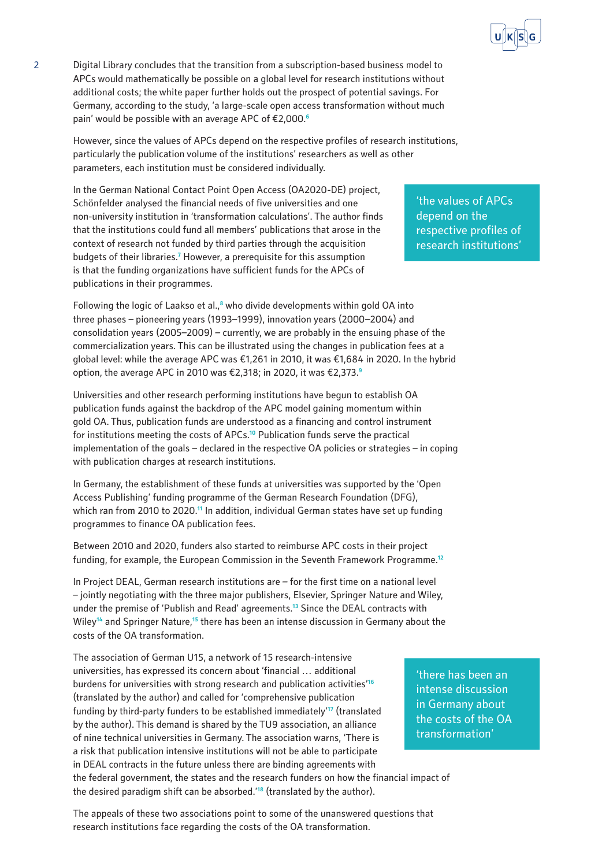

2 Digital Library concludes that the transition from a subscription-based business model to APCs would mathematically be possible on a global level for research institutions without additional costs; the white paper further holds out the prospect of potential savings. For Germany, according to the study, 'a large-scale open access transformation without much pain' would be possible with an average APC of €2,000.**<sup>6</sup>**

However, since the values of APCs depend on the respective profiles of research institutions, particularly the publication volume of the institutions' researchers as well as other parameters, each institution must be considered individually.

In the German National Contact Point Open Access (OA2020-DE) project, Schönfelder analysed the financial needs of five universities and one non-university institution in 'transformation calculations'. The author finds that the institutions could fund all members' publications that arose in the context of research not funded by third parties through the acquisition budgets of their libraries.<sup>7</sup> However, a prerequisite for this assumption is that the funding organizations have sufficient funds for the APCs of publications in their programmes.

'the values of APCs depend on the respective profiles of research institutions'

Following the logic of Laakso et al.,<sup>8</sup> who divide developments within gold OA into three phases – pioneering years (1993–1999), innovation years (2000–2004) and consolidation years (2005–2009) – currently, we are probably in the ensuing phase of the commercialization years. This can be illustrated using the changes in publication fees at a global level: while the average APC was €1,261 in 2010, it was €1,684 in 2020. In the hybrid option, the average APC in 2010 was €2,318; in 2020, it was €2,373.**<sup>9</sup>**

Universities and other research performing institutions have begun to establish OA publication funds against the backdrop of the APC model gaining momentum within gold OA. Thus, publication funds are understood as a financing and control instrument for institutions meeting the costs of APCs.**<sup>10</sup>** Publication funds serve the practical implementation of the goals – declared in the respective OA policies or strategies – in coping with publication charges at research institutions.

In Germany, the establishment of these funds at universities was supported by the 'Open Access Publishing' funding programme of the German Research Foundation (DFG), which ran from 2010 to 2020.**<sup>11</sup>** In addition, individual German states have set up funding programmes to finance OA publication fees.

Between 2010 and 2020, funders also started to reimburse APC costs in their project funding, for example, the European Commission in the Seventh Framework Programme.**<sup>12</sup>**

In Project DEAL, German research institutions are – for the first time on a national level – jointly negotiating with the three major publishers, Elsevier, Springer Nature and Wiley, under the premise of 'Publish and Read' agreements.**<sup>13</sup>** Since the DEAL contracts with Wiley**<sup>14</sup>** and Springer Nature,**<sup>15</sup>** there has been an intense discussion in Germany about the costs of the OA transformation.

The association of German U15, a network of 15 research-intensive universities, has expressed its concern about 'financial … additional burdens for universities with strong research and publication activities'**<sup>16</sup>** (translated by the author) and called for 'comprehensive publication funding by third-party funders to be established immediately'**<sup>17</sup>** (translated by the author). This demand is shared by the TU9 association, an alliance of nine technical universities in Germany. The association warns, 'There is a risk that publication intensive institutions will not be able to participate in DEAL contracts in the future unless there are binding agreements with the federal government, the states and the research funders on how the financial impact of the desired paradigm shift can be absorbed.'**<sup>18</sup>** (translated by the author). 'there has been an intense discussion in Germany about the costs of the OA transformation'

The appeals of these two associations point to some of the unanswered questions that research institutions face regarding the costs of the OA transformation.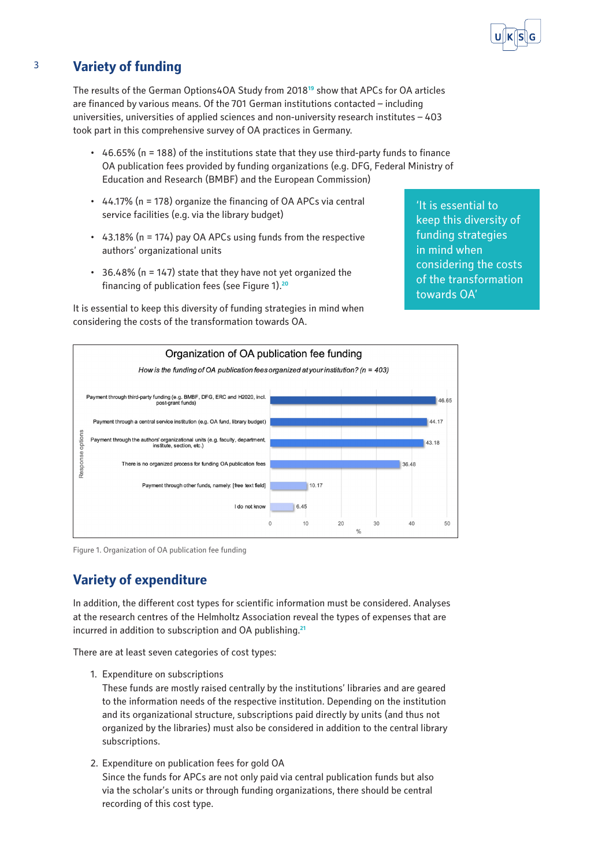

# 3 **Variety of funding**

The results of the German Options4OA Study from 2018**<sup>19</sup>** show that APCs for OA articles are financed by various means. Of the 701 German institutions contacted – including universities, universities of applied sciences and non-university research institutes – 403 took part in this comprehensive survey of OA practices in Germany.

- $\cdot$  46.65% (n = 188) of the institutions state that they use third-party funds to finance OA publication fees provided by funding organizations (e.g. DFG, Federal Ministry of Education and Research (BMBF) and the European Commission)
- $\cdot$  44.17% (n = 178) organize the financing of OA APCs via central service facilities (e.g. via the library budget)
- • 43.18% (n = 174) pay OA APCs using funds from the respective authors' organizational units
- • 36.48% (n = 147) state that they have not yet organized the financing of publication fees (see Figure 1).**<sup>20</sup>**

It is essential to keep this diversity of funding strategies in mind when considering the costs of the transformation towards OA.

'It is essential to keep this diversity of funding strategies in mind when considering the costs of the transformation towards OA'



Figure 1. Organization of OA publication fee funding

# **Variety of expenditure**

In addition, the different cost types for scientific information must be considered. Analyses at the research centres of the Helmholtz Association reveal the types of expenses that are incurred in addition to subscription and OA publishing.**<sup>21</sup>**

There are at least seven categories of cost types:

1. Expenditure on subscriptions

These funds are mostly raised centrally by the institutions' libraries and are geared to the information needs of the respective institution. Depending on the institution and its organizational structure, subscriptions paid directly by units (and thus not organized by the libraries) must also be considered in addition to the central library subscriptions.

2. Expenditure on publication fees for gold OA Since the funds for APCs are not only paid via central publication funds but also via the scholar's units or through funding organizations, there should be central recording of this cost type.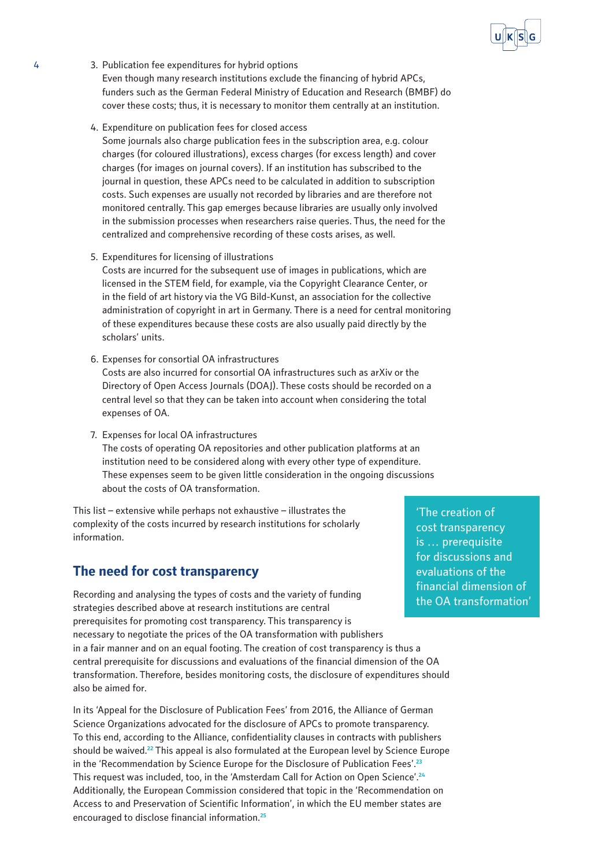

- 4 3. Publication fee expenditures for hybrid options Even though many research institutions exclude the financing of hybrid APCs, funders such as the German Federal Ministry of Education and Research (BMBF) do cover these costs; thus, it is necessary to monitor them centrally at an institution.
	- 4. Expenditure on publication fees for closed access

Some journals also charge publication fees in the subscription area, e.g. colour charges (for coloured illustrations), excess charges (for excess length) and cover charges (for images on journal covers). If an institution has subscribed to the journal in question, these APCs need to be calculated in addition to subscription costs. Such expenses are usually not recorded by libraries and are therefore not monitored centrally. This gap emerges because libraries are usually only involved in the submission processes when researchers raise queries. Thus, the need for the centralized and comprehensive recording of these costs arises, as well.

5. Expenditures for licensing of illustrations

Costs are incurred for the subsequent use of images in publications, which are licensed in the STEM field, for example, via the Copyright Clearance Center, or in the field of art history via the VG Bild-Kunst, an association for the collective administration of copyright in art in Germany. There is a need for central monitoring of these expenditures because these costs are also usually paid directly by the scholars' units.

6. Expenses for consortial OA infrastructures

Costs are also incurred for consortial OA infrastructures such as arXiv or the Directory of Open Access Journals (DOAJ). These costs should be recorded on a central level so that they can be taken into account when considering the total expenses of OA.

7. Expenses for local OA infrastructures

The costs of operating OA repositories and other publication platforms at an institution need to be considered along with every other type of expenditure. These expenses seem to be given little consideration in the ongoing discussions about the costs of OA transformation.

This list – extensive while perhaps not exhaustive – illustrates the complexity of the costs incurred by research institutions for scholarly information.

# **The need for cost transparency**

Recording and analysing the types of costs and the variety of funding strategies described above at research institutions are central prerequisites for promoting cost transparency. This transparency is necessary to negotiate the prices of the OA transformation with publishers in a fair manner and on an equal footing. The creation of cost transparency is thus a central prerequisite for discussions and evaluations of the financial dimension of the OA transformation. Therefore, besides monitoring costs, the disclosure of expenditures should also be aimed for.

In its 'Appeal for the Disclosure of Publication Fees' from 2016, the Alliance of German Science Organizations advocated for the disclosure of APCs to promote transparency. To this end, according to the Alliance, confidentiality clauses in contracts with publishers should be waived.**<sup>22</sup>** This appeal is also formulated at the European level by Science Europe in the 'Recommendation by Science Europe for the Disclosure of Publication Fees'.**<sup>23</sup>** This request was included, too, in the 'Amsterdam Call for Action on Open Science'.**<sup>24</sup>** Additionally, the European Commission considered that topic in the 'Recommendation on Access to and Preservation of Scientific Information', in which the EU member states are encouraged to disclose financial information.**<sup>25</sup>**

'The creation of cost transparency is … prerequisite for discussions and evaluations of the financial dimension of the OA transformation'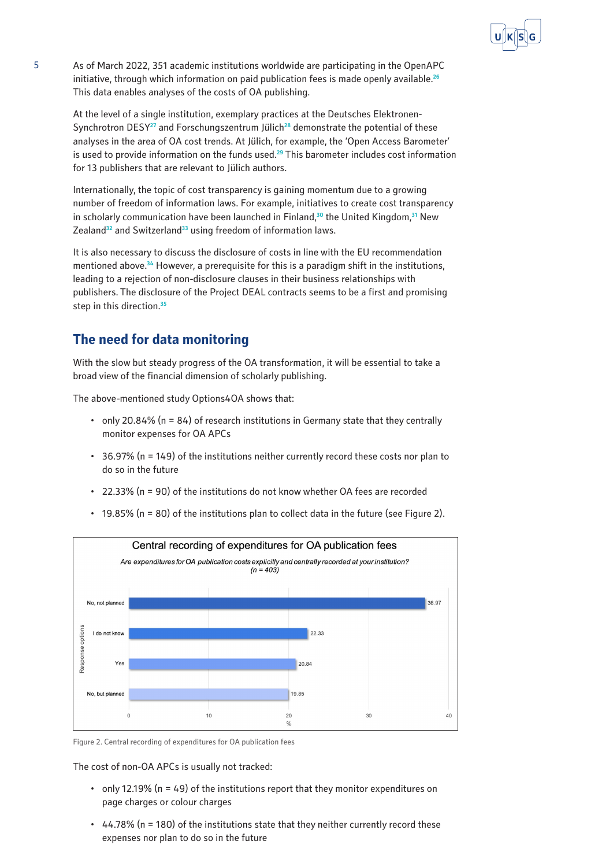

5 As of March 2022, 351 academic institutions worldwide are participating in the OpenAPC initiative, through which information on paid publication fees is made openly available.**<sup>26</sup>** This data enables analyses of the costs of OA publishing.

At the level of a single institution, exemplary practices at the Deutsches Elektronen-Synchrotron DESY**<sup>27</sup>** and Forschungszentrum Jülich**<sup>28</sup>** demonstrate the potential of these analyses in the area of OA cost trends. At Jülich, for example, the 'Open Access Barometer' is used to provide information on the funds used.**<sup>29</sup>** This barometer includes cost information for 13 publishers that are relevant to Jülich authors.

Internationally, the topic of cost transparency is gaining momentum due to a growing number of freedom of information laws. For example, initiatives to create cost transparency in scholarly communication have been launched in Finland,**<sup>30</sup>** the United Kingdom,**<sup>31</sup>** New Zealand**<sup>32</sup>** and Switzerland**<sup>33</sup>** using freedom of information laws.

It is also necessary to discuss the disclosure of costs in line with the EU recommendation mentioned above.**<sup>34</sup>** However, a prerequisite for this is a paradigm shift in the institutions, leading to a rejection of non-disclosure clauses in their business relationships with publishers. The disclosure of the Project DEAL contracts seems to be a first and promising step in this direction.**<sup>35</sup>**

# **The need for data monitoring**

With the slow but steady progress of the OA transformation, it will be essential to take a broad view of the financial dimension of scholarly publishing.

The above-mentioned study Options4OA shows that:

- only 20.84% ( $n = 84$ ) of research institutions in Germany state that they centrally monitor expenses for OA APCs
- • 36.97% (n = 149) of the institutions neither currently record these costs nor plan to do so in the future
- $\cdot$  22.33% (n = 90) of the institutions do not know whether OA fees are recorded
- • 19.85% (n = 80) of the institutions plan to collect data in the future (see Figure 2).



Figure 2. Central recording of expenditures for OA publication fees

The cost of non-OA APCs is usually not tracked:

- only 12.19% ( $n = 49$ ) of the institutions report that they monitor expenditures on page charges or colour charges
- $\cdot$  44.78% (n = 180) of the institutions state that they neither currently record these expenses nor plan to do so in the future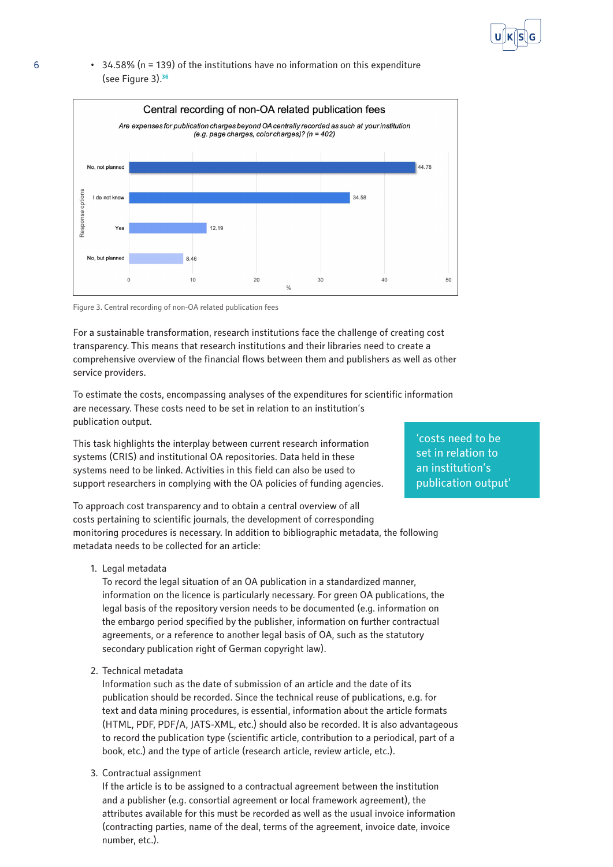

## 6 • 34.58% ( $n = 139$ ) of the institutions have no information on this expenditure (see Figure 3).**<sup>36</sup>**



Figure 3. Central recording of non-OA related publication fees

For a sustainable transformation, research institutions face the challenge of creating cost transparency. This means that research institutions and their libraries need to create a comprehensive overview of the financial flows between them and publishers as well as other service providers.

To estimate the costs, encompassing analyses of the expenditures for scientific information are necessary. These costs need to be set in relation to an institution's publication output.

This task highlights the interplay between current research information systems (CRIS) and institutional OA repositories. Data held in these systems need to be linked. Activities in this field can also be used to support researchers in complying with the OA policies of funding agencies.

To approach cost transparency and to obtain a central overview of all costs pertaining to scientific journals, the development of corresponding monitoring procedures is necessary. In addition to bibliographic metadata, the following metadata needs to be collected for an article:

1. Legal metadata

To record the legal situation of an OA publication in a standardized manner, information on the licence is particularly necessary. For green OA publications, the legal basis of the repository version needs to be documented (e.g. information on the embargo period specified by the publisher, information on further contractual agreements, or a reference to another legal basis of OA, such as the statutory secondary publication right of German copyright law).

2. Technical metadata

Information such as the date of submission of an article and the date of its publication should be recorded. Since the technical reuse of publications, e.g. for text and data mining procedures, is essential, information about the article formats (HTML, PDF, PDF/A, JATS-XML, etc.) should also be recorded. It is also advantageous to record the publication type (scientific article, contribution to a periodical, part of a book, etc.) and the type of article (research article, review article, etc.).

3. Contractual assignment

If the article is to be assigned to a contractual agreement between the institution and a publisher (e.g. consortial agreement or local framework agreement), the attributes available for this must be recorded as well as the usual invoice information (contracting parties, name of the deal, terms of the agreement, invoice date, invoice number, etc.).

'costs need to be set in relation to an institution's publication output'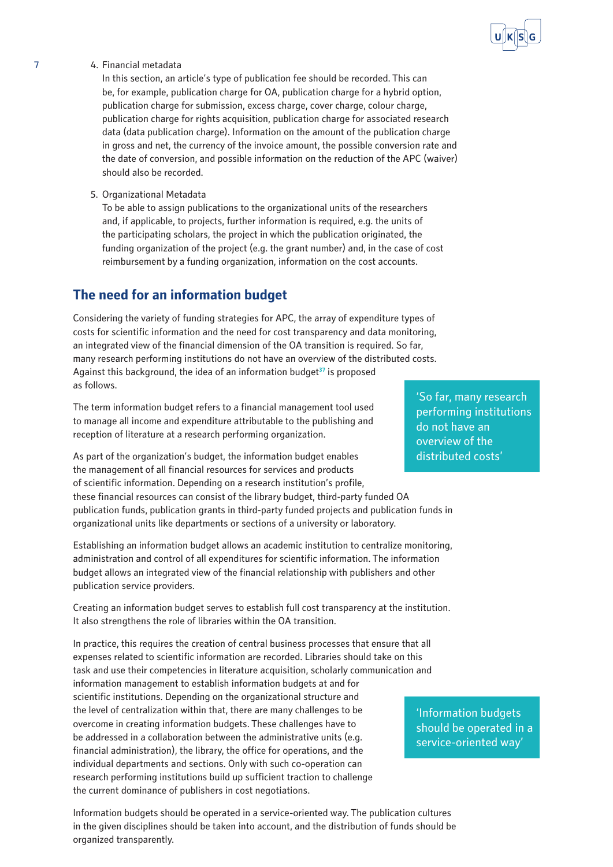7 4. Financial metadata

In this section, an article's type of publication fee should be recorded. This can be, for example, publication charge for OA, publication charge for a hybrid option, publication charge for submission, excess charge, cover charge, colour charge, publication charge for rights acquisition, publication charge for associated research data (data publication charge). Information on the amount of the publication charge in gross and net, the currency of the invoice amount, the possible conversion rate and the date of conversion, and possible information on the reduction of the APC (waiver) should also be recorded.

5. Organizational Metadata

To be able to assign publications to the organizational units of the researchers and, if applicable, to projects, further information is required, e.g. the units of the participating scholars, the project in which the publication originated, the funding organization of the project (e.g. the grant number) and, in the case of cost reimbursement by a funding organization, information on the cost accounts.

# **The need for an information budget**

Considering the variety of funding strategies for APC, the array of expenditure types of costs for scientific information and the need for cost transparency and data monitoring, an integrated view of the financial dimension of the OA transition is required. So far, many research performing institutions do not have an overview of the distributed costs. Against this background, the idea of an information budget**<sup>37</sup>** is proposed as follows.

The term information budget refers to a financial management tool used to manage all income and expenditure attributable to the publishing and reception of literature at a research performing organization.

As part of the organization's budget, the information budget enables the management of all financial resources for services and products of scientific information. Depending on a research institution's profile, these financial resources can consist of the library budget, third-party funded OA publication funds, publication grants in third-party funded projects and publication funds in organizational units like departments or sections of a university or laboratory.

Establishing an information budget allows an academic institution to centralize monitoring, administration and control of all expenditures for scientific information. The information budget allows an integrated view of the financial relationship with publishers and other publication service providers.

Creating an information budget serves to establish full cost transparency at the institution. It also strengthens the role of libraries within the OA transition.

In practice, this requires the creation of central business processes that ensure that all expenses related to scientific information are recorded. Libraries should take on this task and use their competencies in literature acquisition, scholarly communication and information management to establish information budgets at and for scientific institutions. Depending on the organizational structure and the level of centralization within that, there are many challenges to be overcome in creating information budgets. These challenges have to be addressed in a collaboration between the administrative units (e.g. financial administration), the library, the office for operations, and the individual departments and sections. Only with such co-operation can research performing institutions build up sufficient traction to challenge the current dominance of publishers in cost negotiations.

Information budgets should be operated in a service-oriented way. The publication cultures in the given disciplines should be taken into account, and the distribution of funds should be organized transparently.

'So far, many research performing institutions do not have an overview of the distributed costs'



'Information budgets should be operated in a service-oriented way'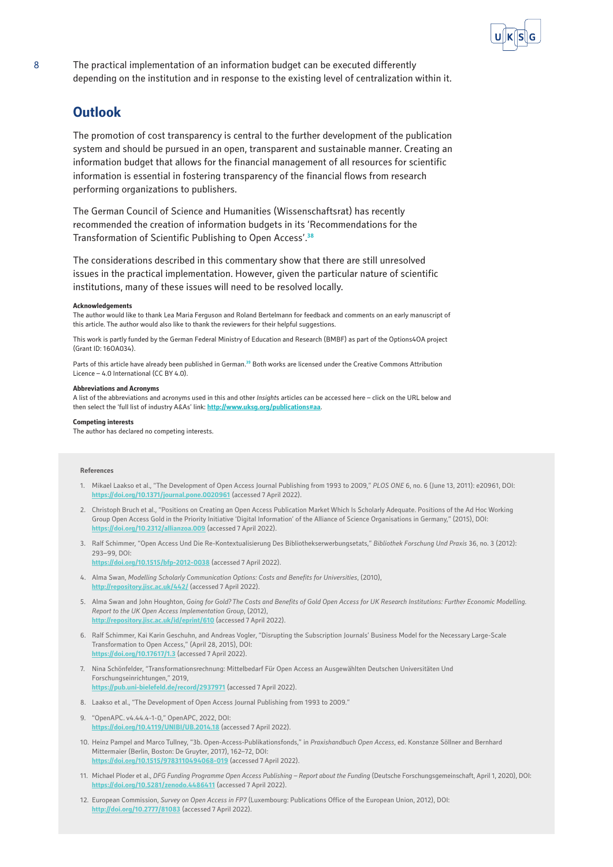

8 The practical implementation of an information budget can be executed differently depending on the institution and in response to the existing level of centralization within it.

# **Outlook**

The promotion of cost transparency is central to the further development of the publication system and should be pursued in an open, transparent and sustainable manner. Creating an information budget that allows for the financial management of all resources for scientific information is essential in fostering transparency of the financial flows from research performing organizations to publishers.

The German Council of Science and Humanities (Wissenschaftsrat) has recently recommended the creation of information budgets in its 'Recommendations for the Transformation of Scientific Publishing to Open Access'.**<sup>38</sup>**

The considerations described in this commentary show that there are still unresolved issues in the practical implementation. However, given the particular nature of scientific institutions, many of these issues will need to be resolved locally.

## **Acknowledgements**

The author would like to thank Lea Maria Ferguson and Roland Bertelmann for feedback and comments on an early manuscript of this article. The author would also like to thank the reviewers for their helpful suggestions.

This work is partly funded by the German Federal Ministry of Education and Research (BMBF) as part of the Options4OA project (Grant ID: 16OA034).

Parts of this article have already been published in German.**<sup>39</sup>** Both works are licensed under the Creative Commons Attribution Licence – 4.0 International (CC BY 4.0).

#### **Abbreviations and Acronyms**

A list of the abbreviations and acronyms used in this and other *Insight*s articles can be accessed here – click on the URL below and then select the 'full list of industry A&As' link: **<http://www.uksg.org/publications#aa>**.

### **Competing interests**

The author has declared no competing interests.

### **References**

- 1. Mikael Laakso et al., "The Development of Open Access Journal Publishing from 1993 to 2009," *PLOS ONE* 6, no. 6 (June 13, 2011): e20961, DOI: **<https://doi.org/10.1371/journal.pone.0020961>** (accessed 7 April 2022).
- 2. Christoph Bruch et al., "Positions on Creating an Open Access Publication Market Which Is Scholarly Adequate. Positions of the Ad Hoc Working Group Open Access Gold in the Priority Initiative 'Digital Information' of the Alliance of Science Organisations in Germany," (2015), DOI: **<https://doi.org/10.2312/allianzoa.009>** (accessed 7 April 2022).
- 3. Ralf Schimmer, "Open Access Und Die Re-Kontextualisierung Des Bibliothekserwerbungsetats," *Bibliothek Forschung Und Praxis* 36, no. 3 (2012): 293–99, DOI:

**<https://doi.org/10.1515/bfp-2012-0038>** (accessed 7 April 2022).

- 4. Alma Swan, *Modelling Scholarly Communication Options: Costs and Benefits for Universities*, (2010), **<http://repository.jisc.ac.uk/442/>** (accessed 7 April 2022).
- 5. Alma Swan and John Houghton, *Going for Gold? The Costs and Benefits of Gold Open Access for UK Research Institutions: Further Economic Modelling. Report to the UK Open Access Implementation Group*, (2012), **<http://repository.jisc.ac.uk/id/eprint/610>** (accessed 7 April 2022).
- 6. Ralf Schimmer, Kai Karin Geschuhn, and Andreas Vogler, "Disrupting the Subscription Journals' Business Model for the Necessary Large-Scale Transformation to Open Access," (April 28, 2015), DOI: **<https://doi.org/10.17617/1.3>** (accessed 7 April 2022).
- 7. Nina Schönfelder, "Transformationsrechnung: Mittelbedarf Für Open Access an Ausgewählten Deutschen Universitäten Und Forschungseinrichtungen," 2019,
	- **<https://pub.uni-bielefeld.de/record/2937971>** (accessed 7 April 2022).
- 8. Laakso et al., "The Development of Open Access Journal Publishing from 1993 to 2009."
- 9. "OpenAPC. v4.44.4-1-0," OpenAPC, 2022, DOI: **<https://doi.org/10.4119/UNIBI/UB.2014.18>** (accessed 7 April 2022).
- 10. Heinz Pampel and Marco Tullney, "3b. Open-Access-Publikationsfonds," in *Praxishandbuch Open Access*, ed. Konstanze Söllner and Bernhard Mittermaier (Berlin, Boston: De Gruyter, 2017), 162–72, DOI: **<https://doi.org/10.1515/9783110494068-019>** (accessed 7 April 2022).
- 11. Michael Ploder et al., *DFG Funding Programme Open Access Publishing Report about the Funding* (Deutsche Forschungsgemeinschaft, April 1, 2020), DOI: **<https://doi.org/10.5281/zenodo.4486411>** (accessed 7 April 2022).
- 12. European Commission, *Survey on Open Access in FP7* (Luxembourg: Publications Office of the European Union, 2012), DOI: **<http://doi.org/10.2777/81083>** (accessed 7 April 2022).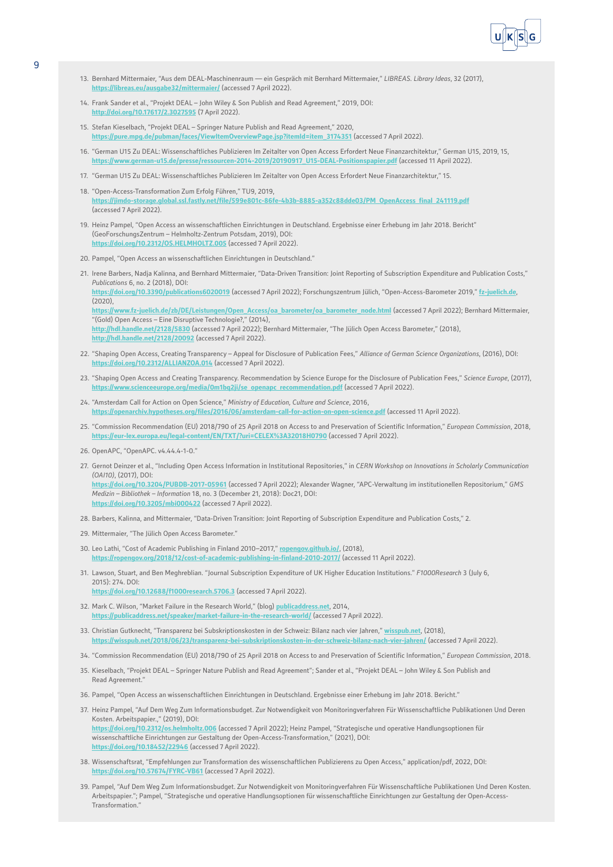

- 13. Bernhard Mittermaier, "Aus dem DEAL-Maschinenraum ein Gespräch mit Bernhard Mittermaier," *LIBREAS. Library Ideas*, 32 (2017), **<https://libreas.eu/ausgabe32/mittermaier/>** (accessed 7 April 2022).
- 14. Frank Sander et al., "Projekt DEAL John Wiley & Son Publish and Read Agreement," 2019, DOI: **<http://doi.org/10.17617/2.3027595>** (7 April 2022).
- 15. Stefan Kieselbach, "Projekt DEAL Springer Nature Publish and Read Agreement," 2020, **[https://pure.mpg.de/pubman/faces/ViewItemOverviewPage.jsp?itemId=item\\_3174351](https://pure.mpg.de/pubman/faces/ViewItemOverviewPage.jsp?itemId=item_3174351)** (accessed 7 April 2022).
- 16. "German U15 Zu DEAL: Wissenschaftliches Publizieren Im Zeitalter von Open Access Erfordert Neue Finanzarchitektur," German U15, 2019, 15, **[https://www.german-u15.de/presse/ressourcen-2014-2019/20190917\\_U15-DEAL-Positionspapier.pdf](https://www.german-u15.de/presse/ressourcen-2014-2019/20190917_U15-DEAL-Positionspapier.pdf)** (accessed 11 April 2022).
- 17. "German U15 Zu DEAL: Wissenschaftliches Publizieren Im Zeitalter von Open Access Erfordert Neue Finanzarchitektur," 15.
- 18. "Open-Access-Transformation Zum Erfolg Führen," TU9, 2019, **[https://jimdo-storage.global.ssl.fastly.net/file/599e801c-86fe-4b3b-8885-a352c88dde03/PM\\_OpenAccess\\_final\\_241119.pdf](https://jimdo-storage.global.ssl.fastly.net/file/599e801c-86fe-4b3b-8885-a352c88dde03/PM_OpenAccess_final_241119.pdf)** (accessed 7 April 2022).
- 19. Heinz Pampel, "Open Access an wissenschaftlichen Einrichtungen in Deutschland. Ergebnisse einer Erhebung im Jahr 2018. Bericht" (GeoForschungsZentrum – Helmholtz-Zentrum Potsdam, 2019), DOI: **<https://doi.org/10.2312/OS.HELMHOLTZ.005>** (accessed 7 April 2022).
- 20. Pampel, "Open Access an wissenschaftlichen Einrichtungen in Deutschland."
- 21. Irene Barbers, Nadja Kalinna, and Bernhard Mittermaier, "Data-Driven Transition: Joint Reporting of Subscription Expenditure and Publication Costs," *Publications* 6, no. 2 (2018), DOI: **<https://doi.org/10.3390/publications6020019>** (accessed 7 April 2022); Forschungszentrum Jülich, "Open-Access-Barometer 2019," **[fz-juelich.de](https://fz-juelich.de)**,  $(2020)$ [https://www.fz-juelich.de/zb/DE/Leistungen/Open\\_Access/oa\\_barometer/oa\\_barometer\\_node.html](https://www.fz-juelich.de/zb/DE/Leistungen/Open_Access/oa_barometer/oa_barometer_node.html) (accessed 7 April 2022); Bernhard Mittermaier, "(Gold) Open Access – Eine Disruptive Technologie?," (2014), **<http://hdl.handle.net/2128/5830>** (accessed 7 April 2022); Bernhard Mittermaier, "The Jülich Open Access Barometer," (2018), **[http://hdl.handle.net/2128/20092](http://hdl.handle.net/2128/20092 )** (accessed 7 April 2022).
- 22. "Shaping Open Access, Creating Transparency Appeal for Disclosure of Publication Fees," *Alliance of German Science Organizations*, (2016), DOI: **<https://doi.org/10.2312/ALLIANZOA.014>** (accessed 7 April 2022).
- 23. "Shaping Open Access and Creating Transparency. Recommendation by Science Europe for the Disclosure of Publication Fees," *Science Europe*, (2017), **[https://www.scienceeurope.org/media/0m1bq2ji/se\\_openapc\\_recommendation.pdf](https://www.scienceeurope.org/media/0m1bq2ji/se_openapc_recommendation.pdf)** (accessed 7 April 2022).
- 24. "Amsterdam Call for Action on Open Science," *Ministry of Education, Culture and Science*, 2016, **[https://openarchiv.hypotheses.org/files/2016/06/amsterdam-call-for-action-on-open-science.pdf](https://openarchiv.hypotheses.org/files/2016/06/amsterdam-call-for-action-on-open-science.pdf )** (accessed 11 April 2022).
- 25. "Commission Recommendation (EU) 2018/790 of 25 April 2018 on Access to and Preservation of Scientific Information," *European Commission*, 2018, **<https://eur-lex.europa.eu/legal-content/EN/TXT/?uri=CELEX%3A32018H0790>** (accessed 7 April 2022).
- 26. OpenAPC, "OpenAPC. v4.44.4-1-0."
- 27. Gernot Deinzer et al., "Including Open Access Information in Institutional Repositories," in *CERN Workshop on Innovations in Scholarly Communication (OAI10)*, (2017), DOI: **<https://doi.org/10.3204/PUBDB-2017-05961>** (accessed 7 April 2022); Alexander Wagner, "APC-Verwaltung im institutionellen Repositorium," *GMS*

*Medizin – Bibliothek – Information* 18, no. 3 (December 21, 2018): Doc21, DOI: **<https://doi.org/10.3205/mbi000422>** (accessed 7 April 2022).

- 28. Barbers, Kalinna, and Mittermaier, "Data-Driven Transition: Joint Reporting of Subscription Expenditure and Publication Costs," 2.
- 29. Mittermaier, "The Jülich Open Access Barometer."
- 30. Leo Lathi, "Cost of Academic Publishing in Finland 2010–2017," **[ropengov.github.io/](http://ropengov.github.io/)**, (2018), **<https://ropengov.org/2018/12/cost-of-academic-publishing-in-finland-2010-2017/>** (accessed 11 April 2022).
- 31. Lawson, Stuart, and Ben Meghreblian. "Journal Subscription Expenditure of UK Higher Education Institutions." *F1000Research* 3 (July 6, 2015): 274. DOI: **<https://doi.org/10.12688/f1000research.5706.3>** (accessed 7 April 2022).
- 32. Mark C. Wilson, "Market Failure in the Research World," (blog) **[publicaddress.net](https://publicaddress.net/)**, 2014, **kblicaddress.net/speaker/market-failure-in-the-research-world/** (accessed 7 April 2022).
- 33. Christian Gutknecht, "Transparenz bei Subskriptionskosten in der Schweiz: Bilanz nach vier Jahren," **[wisspub.net](https://wisspub.net/)**, (2018), **<https://wisspub.net/2018/06/23/transparenz-bei-subskriptionskosten-in-der-schweiz-bilanz-nach-vier-jahren/>** (accessed 7 April 2022).
- 34. "Commission Recommendation (EU) 2018/790 of 25 April 2018 on Access to and Preservation of Scientific Information," *European Commission*, 2018.
- 35. Kieselbach, "Projekt DEAL Springer Nature Publish and Read Agreement"; Sander et al., "Projekt DEAL John Wiley & Son Publish and Read Agreement."
- 36. Pampel, "Open Access an wissenschaftlichen Einrichtungen in Deutschland. Ergebnisse einer Erhebung im Jahr 2018. Bericht."
- 37. Heinz Pampel, "Auf Dem Weg Zum Informationsbudget. Zur Notwendigkeit von Monitoringverfahren Für Wissenschaftliche Publikationen Und Deren Kosten. Arbeitspapier.," (2019), DOI: **<https://doi.org/10.2312/os.helmholtz.006>** (accessed 7 April 2022); Heinz Pampel, "Strategische und operative Handlungsoptionen für wissenschaftliche Einrichtungen zur Gestaltung der Open-Access-Transformation," (2021), DOI: **<https://doi.org/10.18452/22946>** (accessed 7 April 2022).
- 38. Wissenschaftsrat, "Empfehlungen zur Transformation des wissenschaftlichen Publizierens zu Open Access," application/pdf, 2022, DOI: **<https://doi.org/10.57674/FYRC-VB61>** (accessed 7 April 2022).
- 39. Pampel, "Auf Dem Weg Zum Informationsbudget. Zur Notwendigkeit von Monitoringverfahren Für Wissenschaftliche Publikationen Und Deren Kosten. Arbeitspapier."; Pampel, "Strategische und operative Handlungsoptionen für wissenschaftliche Einrichtungen zur Gestaltung der Open-Access-Transformation."

9